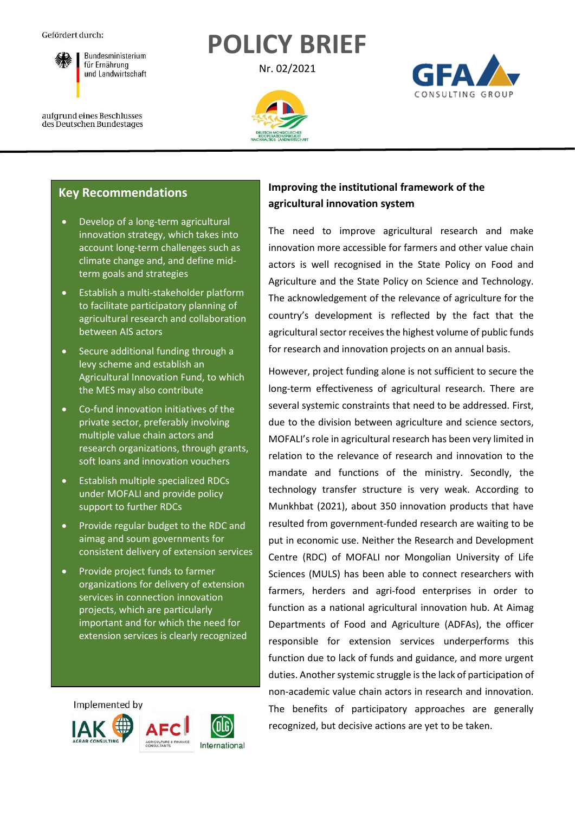

**POLICY BRIEF**

Nr. 02/2021



aufgrund eines Beschlusses des Deutschen Bundestages



# **Key Recommendations**

- Develop of a long-term agricultural innovation strategy, which takes into account long-term challenges such as climate change and, and define midterm goals and strategies
- Establish a multi-stakeholder platform to facilitate participatory planning of agricultural research and collaboration between AIS actors
- Secure additional funding through a levy scheme and establish an Agricultural Innovation Fund, to which the MES may also contribute
- Co-fund innovation initiatives of the private sector, preferably involving multiple value chain actors and research organizations, through grants, soft loans and innovation vouchers
- Establish multiple specialized RDCs under MOFALI and provide policy support to further RDCs
- Provide regular budget to the RDC and aimag and soum governments for consistent delivery of extension services
- Provide project funds to farmer organizations for delivery of extension services in connection innovation projects, which are particularly important and for which the need for extension services is clearly recognized

Implemented by







The need to improve agricultural research and make innovation more accessible for farmers and other value chain actors is well recognised in the State Policy on Food and Agriculture and the State Policy on Science and Technology. The acknowledgement of the relevance of agriculture for the country's development is reflected by the fact that the agricultural sector receives the highest volume of public funds for research and innovation projects on an annual basis.

However, project funding alone is not sufficient to secure the long-term effectiveness of agricultural research. There are several systemic constraints that need to be addressed. First, due to the division between agriculture and science sectors, MOFALI's role in agricultural research has been very limited in relation to the relevance of research and innovation to the mandate and functions of the ministry. Secondly, the technology transfer structure is very weak. According to Munkhbat (2021), about 350 innovation products that have resulted from government-funded research are waiting to be put in economic use. Neither the Research and Development Centre (RDC) of MOFALI nor Mongolian University of Life Sciences (MULS) has been able to connect researchers with farmers, herders and agri-food enterprises in order to function as a national agricultural innovation hub. At Aimag Departments of Food and Agriculture (ADFAs), the officer responsible for extension services underperforms this function due to lack of funds and guidance, and more urgent duties. Another systemic struggle is the lack of participation of non-academic value chain actors in research and innovation. The benefits of participatory approaches are generally recognized, but decisive actions are yet to be taken.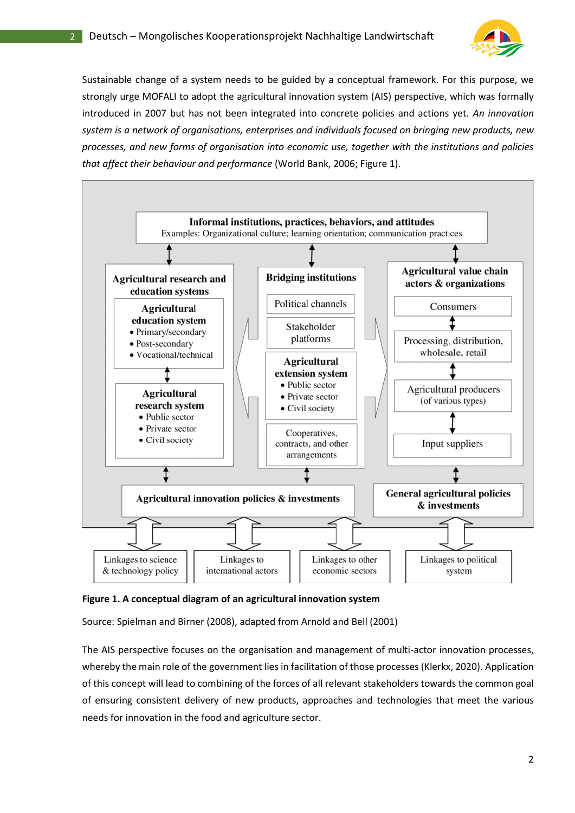

Sustainable change of a system needs to be guided by a conceptual framework. For this purpose, we strongly urge MOFALI to adopt the agricultural innovation system (AIS) perspective, which was formally introduced in 2007 but has not been integrated into concrete policies and actions yet. *An innovation system is a network of organisations, enterprises and individuals focused on bringing new products, new processes, and new forms of organisation into economic use, together with the institutions and policies that affect their behaviour and performance* (World Bank, 2006; Figure 1).



**Figure 1. A conceptual diagram of an agricultural innovation system**

Source: Spielman and Birner (2008), adapted from Arnold and Bell (2001)

The AIS perspective focuses on the organisation and management of multi-actor innovation processes, whereby the main role of the government lies in facilitation of those processes (Klerkx, 2020). Application of this concept will lead to combining of the forces of all relevant stakeholders towards the common goal of ensuring consistent delivery of new products, approaches and technologies that meet the various needs for innovation in the food and agriculture sector.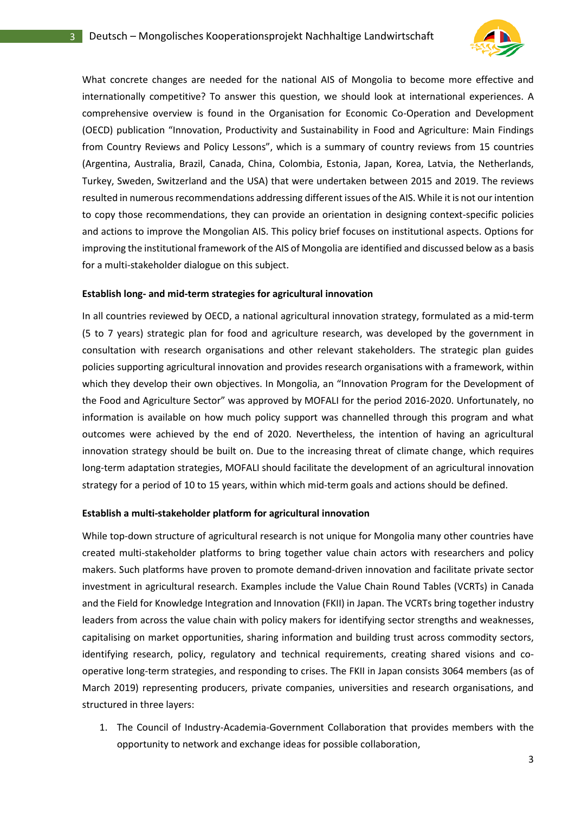

What concrete changes are needed for the national AIS of Mongolia to become more effective and internationally competitive? To answer this question, we should look at international experiences. A comprehensive overview is found in the Organisation for Economic Co-Operation and Development (OECD) publication "Innovation, Productivity and Sustainability in Food and Agriculture: Main Findings from Country Reviews and Policy Lessons", which is a summary of country reviews from 15 countries (Argentina, Australia, Brazil, Canada, China, Colombia, Estonia, Japan, Korea, Latvia, the Netherlands, Turkey, Sweden, Switzerland and the USA) that were undertaken between 2015 and 2019. The reviews resulted in numerous recommendations addressing different issues of the AIS. While it is not our intention to copy those recommendations, they can provide an orientation in designing context-specific policies and actions to improve the Mongolian AIS. This policy brief focuses on institutional aspects. Options for improving the institutional framework of the AIS of Mongolia are identified and discussed below as a basis for a multi-stakeholder dialogue on this subject.

### **Establish long- and mid-term strategies for agricultural innovation**

In all countries reviewed by OECD, a national agricultural innovation strategy, formulated as a mid-term (5 to 7 years) strategic plan for food and agriculture research, was developed by the government in consultation with research organisations and other relevant stakeholders. The strategic plan guides policies supporting agricultural innovation and provides research organisations with a framework, within which they develop their own objectives. In Mongolia, an "Innovation Program for the Development of the Food and Agriculture Sector" was approved by MOFALI for the period 2016-2020. Unfortunately, no information is available on how much policy support was channelled through this program and what outcomes were achieved by the end of 2020. Nevertheless, the intention of having an agricultural innovation strategy should be built on. Due to the increasing threat of climate change, which requires long-term adaptation strategies, MOFALI should facilitate the development of an agricultural innovation strategy for a period of 10 to 15 years, within which mid-term goals and actions should be defined.

#### **Establish a multi-stakeholder platform for agricultural innovation**

While top-down structure of agricultural research is not unique for Mongolia many other countries have created multi-stakeholder platforms to bring together value chain actors with researchers and policy makers. Such platforms have proven to promote demand-driven innovation and facilitate private sector investment in agricultural research. Examples include the Value Chain Round Tables (VCRTs) in Canada and the Field for Knowledge Integration and Innovation (FKII) in Japan. The VCRTs bring together industry leaders from across the value chain with policy makers for identifying sector strengths and weaknesses, capitalising on market opportunities, sharing information and building trust across commodity sectors, identifying research, policy, regulatory and technical requirements, creating shared visions and cooperative long-term strategies, and responding to crises. The FKII in Japan consists 3064 members (as of March 2019) representing producers, private companies, universities and research organisations, and structured in three layers:

1. The Council of Industry-Academia-Government Collaboration that provides members with the opportunity to network and exchange ideas for possible collaboration,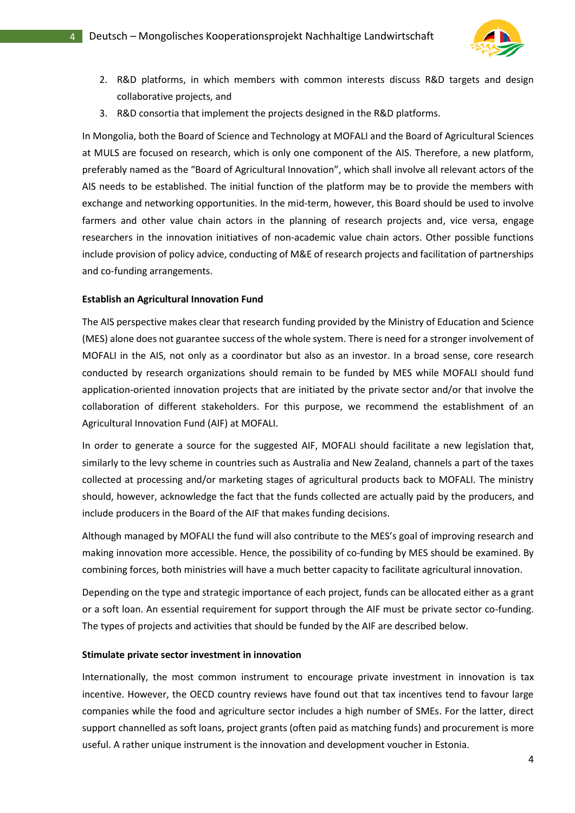

- 2. R&D platforms, in which members with common interests discuss R&D targets and design collaborative projects, and
- 3. R&D consortia that implement the projects designed in the R&D platforms.

In Mongolia, both the Board of Science and Technology at MOFALI and the Board of Agricultural Sciences at MULS are focused on research, which is only one component of the AIS. Therefore, a new platform, preferably named as the "Board of Agricultural Innovation", which shall involve all relevant actors of the AIS needs to be established. The initial function of the platform may be to provide the members with exchange and networking opportunities. In the mid-term, however, this Board should be used to involve farmers and other value chain actors in the planning of research projects and, vice versa, engage researchers in the innovation initiatives of non-academic value chain actors. Other possible functions include provision of policy advice, conducting of M&E of research projects and facilitation of partnerships and co-funding arrangements.

### **Establish an Agricultural Innovation Fund**

The AIS perspective makes clear that research funding provided by the Ministry of Education and Science (MES) alone does not guarantee success of the whole system. There is need for a stronger involvement of MOFALI in the AIS, not only as a coordinator but also as an investor. In a broad sense, core research conducted by research organizations should remain to be funded by MES while MOFALI should fund application-oriented innovation projects that are initiated by the private sector and/or that involve the collaboration of different stakeholders. For this purpose, we recommend the establishment of an Agricultural Innovation Fund (AIF) at MOFALI.

In order to generate a source for the suggested AIF, MOFALI should facilitate a new legislation that, similarly to the levy scheme in countries such as Australia and New Zealand, channels a part of the taxes collected at processing and/or marketing stages of agricultural products back to MOFALI. The ministry should, however, acknowledge the fact that the funds collected are actually paid by the producers, and include producers in the Board of the AIF that makes funding decisions.

Although managed by MOFALI the fund will also contribute to the MES's goal of improving research and making innovation more accessible. Hence, the possibility of co-funding by MES should be examined. By combining forces, both ministries will have a much better capacity to facilitate agricultural innovation.

Depending on the type and strategic importance of each project, funds can be allocated either as a grant or a soft loan. An essential requirement for support through the AIF must be private sector co-funding. The types of projects and activities that should be funded by the AIF are described below.

### **Stimulate private sector investment in innovation**

Internationally, the most common instrument to encourage private investment in innovation is tax incentive. However, the OECD country reviews have found out that tax incentives tend to favour large companies while the food and agriculture sector includes a high number of SMEs. For the latter, direct support channelled as soft loans, project grants (often paid as matching funds) and procurement is more useful. A rather unique instrument is the innovation and development voucher in Estonia.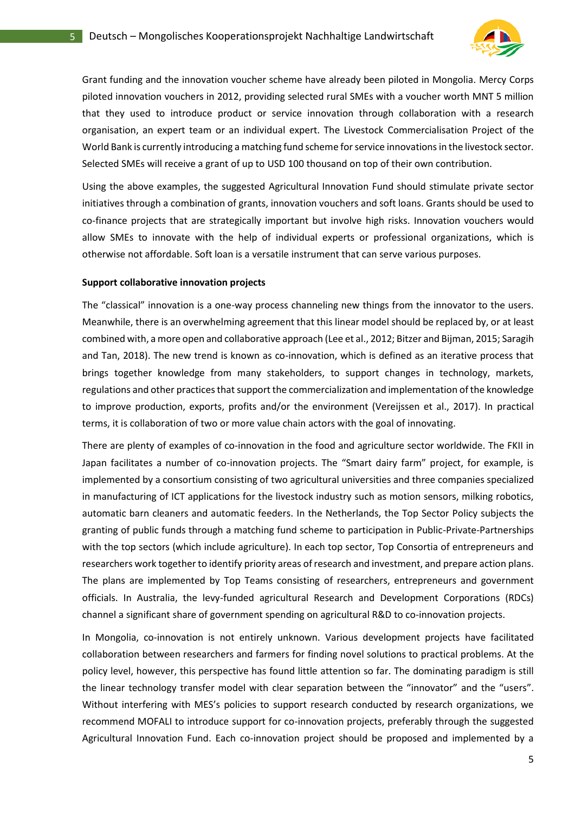

Grant funding and the innovation voucher scheme have already been piloted in Mongolia. Mercy Corps piloted innovation vouchers in 2012, providing selected rural SMEs with a voucher worth MNT 5 million that they used to introduce product or service innovation through collaboration with a research organisation, an expert team or an individual expert. The Livestock Commercialisation Project of the World Bank is currently introducing a matching fund scheme for service innovations in the livestock sector. Selected SMEs will receive a grant of up to USD 100 thousand on top of their own contribution.

Using the above examples, the suggested Agricultural Innovation Fund should stimulate private sector initiatives through a combination of grants, innovation vouchers and soft loans. Grants should be used to co-finance projects that are strategically important but involve high risks. Innovation vouchers would allow SMEs to innovate with the help of individual experts or professional organizations, which is otherwise not affordable. Soft loan is a versatile instrument that can serve various purposes.

#### **Support collaborative innovation projects**

The "classical" innovation is a one-way process channeling new things from the innovator to the users. Meanwhile, there is an overwhelming agreement that this linear model should be replaced by, or at least combined with, a more open and collaborative approach (Lee et al., 2012; Bitzer and Bijman, 2015; Saragih and Tan, 2018). The new trend is known as co-innovation, which is defined as an iterative process that brings together knowledge from many stakeholders, to support changes in technology, markets, regulations and other practices that support the commercialization and implementation of the knowledge to improve production, exports, profits and/or the environment (Vereijssen et al., 2017). In practical terms, it is collaboration of two or more value chain actors with the goal of innovating.

There are plenty of examples of co-innovation in the food and agriculture sector worldwide. The FKII in Japan facilitates a number of co-innovation projects. The "Smart dairy farm" project, for example, is implemented by a consortium consisting of two agricultural universities and three companies specialized in manufacturing of ICT applications for the livestock industry such as motion sensors, milking robotics, automatic barn cleaners and automatic feeders. In the Netherlands, the Top Sector Policy subjects the granting of public funds through a matching fund scheme to participation in Public-Private-Partnerships with the top sectors (which include agriculture). In each top sector, Top Consortia of entrepreneurs and researchers work together to identify priority areas of research and investment, and prepare action plans. The plans are implemented by Top Teams consisting of researchers, entrepreneurs and government officials. In Australia, the levy-funded agricultural Research and Development Corporations (RDCs) channel a significant share of government spending on agricultural R&D to co-innovation projects.

In Mongolia, co-innovation is not entirely unknown. Various development projects have facilitated collaboration between researchers and farmers for finding novel solutions to practical problems. At the policy level, however, this perspective has found little attention so far. The dominating paradigm is still the linear technology transfer model with clear separation between the "innovator" and the "users". Without interfering with MES's policies to support research conducted by research organizations, we recommend MOFALI to introduce support for co-innovation projects, preferably through the suggested Agricultural Innovation Fund. Each co-innovation project should be proposed and implemented by a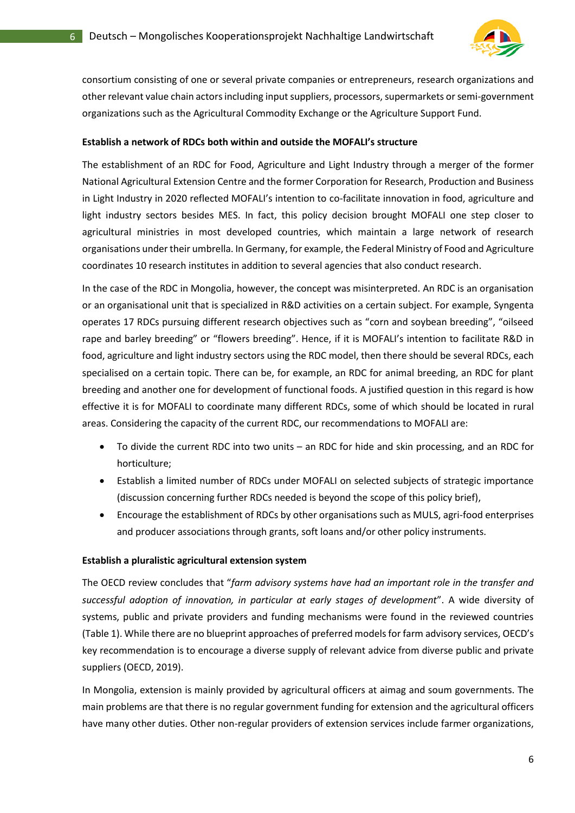

consortium consisting of one or several private companies or entrepreneurs, research organizations and other relevant value chain actors including input suppliers, processors, supermarkets or semi-government organizations such as the Agricultural Commodity Exchange or the Agriculture Support Fund.

### **Establish a network of RDCs both within and outside the MOFALI's structure**

The establishment of an RDC for Food, Agriculture and Light Industry through a merger of the former National Agricultural Extension Centre and the former Corporation for Research, Production and Business in Light Industry in 2020 reflected MOFALI's intention to co-facilitate innovation in food, agriculture and light industry sectors besides MES. In fact, this policy decision brought MOFALI one step closer to agricultural ministries in most developed countries, which maintain a large network of research organisations under their umbrella. In Germany, for example, the Federal Ministry of Food and Agriculture coordinates 10 research institutes in addition to several agencies that also conduct research.

In the case of the RDC in Mongolia, however, the concept was misinterpreted. An RDC is an organisation or an organisational unit that is specialized in R&D activities on a certain subject. For example, Syngenta operates 17 RDCs pursuing different research objectives such as "corn and soybean breeding", "oilseed rape and barley breeding" or "flowers breeding". Hence, if it is MOFALI's intention to facilitate R&D in food, agriculture and light industry sectors using the RDC model, then there should be several RDCs, each specialised on a certain topic. There can be, for example, an RDC for animal breeding, an RDC for plant breeding and another one for development of functional foods. A justified question in this regard is how effective it is for MOFALI to coordinate many different RDCs, some of which should be located in rural areas. Considering the capacity of the current RDC, our recommendations to MOFALI are:

- To divide the current RDC into two units an RDC for hide and skin processing, and an RDC for horticulture;
- Establish a limited number of RDCs under MOFALI on selected subjects of strategic importance (discussion concerning further RDCs needed is beyond the scope of this policy brief),
- Encourage the establishment of RDCs by other organisations such as MULS, agri-food enterprises and producer associations through grants, soft loans and/or other policy instruments.

### **Establish a pluralistic agricultural extension system**

The OECD review concludes that "*farm advisory systems have had an important role in the transfer and successful adoption of innovation, in particular at early stages of development*". A wide diversity of systems, public and private providers and funding mechanisms were found in the reviewed countries (Table 1). While there are no blueprint approaches of preferred models for farm advisory services, OECD's key recommendation is to encourage a diverse supply of relevant advice from diverse public and private suppliers (OECD, 2019).

In Mongolia, extension is mainly provided by agricultural officers at aimag and soum governments. The main problems are that there is no regular government funding for extension and the agricultural officers have many other duties. Other non-regular providers of extension services include farmer organizations,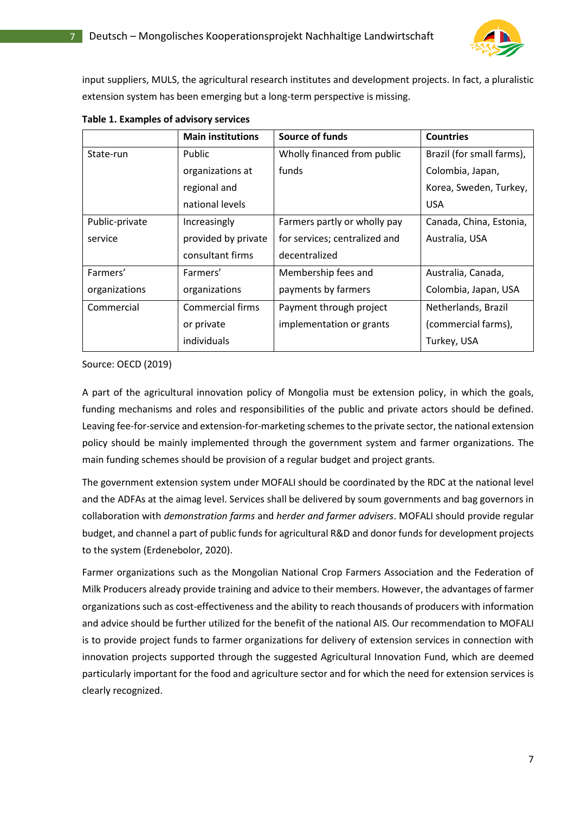

input suppliers, MULS, the agricultural research institutes and development projects. In fact, a pluralistic extension system has been emerging but a long-term perspective is missing.

|                | <b>Main institutions</b> | Source of funds               | <b>Countries</b>          |
|----------------|--------------------------|-------------------------------|---------------------------|
| State-run      | Public                   | Wholly financed from public   | Brazil (for small farms), |
|                | organizations at         | funds                         | Colombia, Japan,          |
|                | regional and             |                               | Korea, Sweden, Turkey,    |
|                | national levels          |                               | <b>USA</b>                |
| Public-private | Increasingly             | Farmers partly or wholly pay  | Canada, China, Estonia,   |
| service        | provided by private      | for services; centralized and | Australia, USA            |
|                | consultant firms         | decentralized                 |                           |
| Farmers'       | Farmers'                 | Membership fees and           | Australia, Canada,        |
| organizations  | organizations            | payments by farmers           | Colombia, Japan, USA      |
| Commercial     | Commercial firms         | Payment through project       | Netherlands, Brazil       |
|                | or private               | implementation or grants      | (commercial farms),       |
|                | individuals              |                               | Turkey, USA               |

**Table 1. Examples of advisory services**

Source: OECD (2019)

A part of the agricultural innovation policy of Mongolia must be extension policy, in which the goals, funding mechanisms and roles and responsibilities of the public and private actors should be defined. Leaving fee-for-service and extension-for-marketing schemes to the private sector, the national extension policy should be mainly implemented through the government system and farmer organizations. The main funding schemes should be provision of a regular budget and project grants.

The government extension system under MOFALI should be coordinated by the RDC at the national level and the ADFAs at the aimag level. Services shall be delivered by soum governments and bag governors in collaboration with *demonstration farms* and *herder and farmer advisers*. MOFALI should provide regular budget, and channel a part of public funds for agricultural R&D and donor funds for development projects to the system (Erdenebolor, 2020).

Farmer organizations such as the Mongolian National Crop Farmers Association and the Federation of Milk Producers already provide training and advice to their members. However, the advantages of farmer organizations such as cost-effectiveness and the ability to reach thousands of producers with information and advice should be further utilized for the benefit of the national AIS. Our recommendation to MOFALI is to provide project funds to farmer organizations for delivery of extension services in connection with innovation projects supported through the suggested Agricultural Innovation Fund, which are deemed particularly important for the food and agriculture sector and for which the need for extension services is clearly recognized.